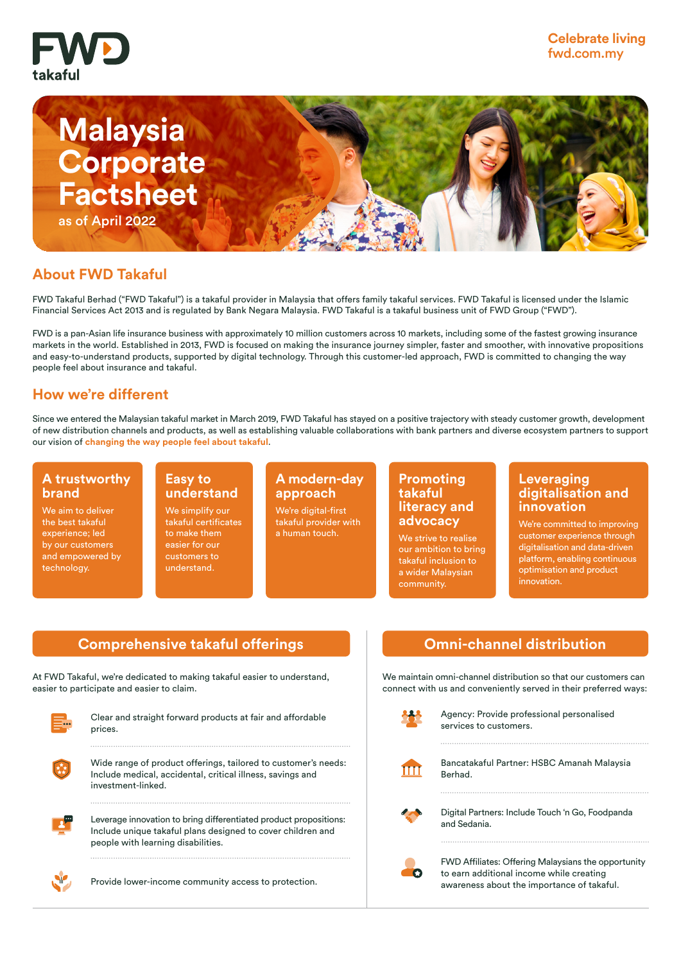



# **About FWD Takaful**

FWD Takaful Berhad ("FWD Takaful") is a takaful provider in Malaysia that offers family takaful services. FWD Takaful is licensed under the Islamic Financial Services Act 2013 and is regulated by Bank Negara Malaysia. FWD Takaful is a takaful business unit of FWD Group ("FWD").

FWD is a pan-Asian life insurance business with approximately 10 million customers across 10 markets, including some of the fastest growing insurance markets in the world. Established in 2013, FWD is focused on making the insurance journey simpler, faster and smoother, with innovative propositions and easy-to-understand products, supported by digital technology. Through this customer-led approach, FWD is committed to changing the way people feel about insurance and takaful.

# **How we're different**

Since we entered the Malaysian takaful market in March 2019, FWD Takaful has stayed on a positive trajectory with steady customer growth, development of new distribution channels and products, as well as establishing valuable collaborations with bank partners and diverse ecosystem partners to support our vision of **changing the way people feel about takaful**.

#### **A trustworthy brand**

We aim to deliver the best takaful experience; led by our customers and empowered by technology.

#### **Easy to understand**

We simplify our takaful certificates to make them easier for our customers to understand.

## **A modern-day approach**

We're digital-first takaful provider with a human touch.

#### **Promoting takaful literacy and advocacy**

We strive to realise our ambition to bring takaful inclusion to a wider Malaysian community.

#### **Leveraging digitalisation and innovation**

We're committed to improving customer experience through digitalisation and data-driven platform, enabling continuous optimisation and product innovation.

# **Comprehensive takaful offerings and all communishers of Communishment distribution**

At FWD Takaful, we're dedicated to making takaful easier to understand, easier to participate and easier to claim.



Clear and straight forward products at fair and affordable prices.



Include medical, accidental, critical illness, savings and investment-linked.



Leverage innovation to bring differentiated product propositions: Include unique takaful plans designed to cover children and people with learning disabilities.



Provide lower-income community access to protection.

We maintain omni-channel distribution so that our customers can connect with us and conveniently served in their preferred ways:

|              | Agency: Provide professional personalised<br>services to customers.                                                                           |
|--------------|-----------------------------------------------------------------------------------------------------------------------------------------------|
| $\mathbf{m}$ | Bancatakaful Partner: HSBC Amanah Malaysia<br>Berhad.                                                                                         |
|              | Digital Partners: Include Touch 'n Go, Foodpanda<br>and Sedania.                                                                              |
|              | FWD Affiliates: Offering Malaysians the opportunity<br>to earn additional income while creating<br>awareness about the importance of takaful. |